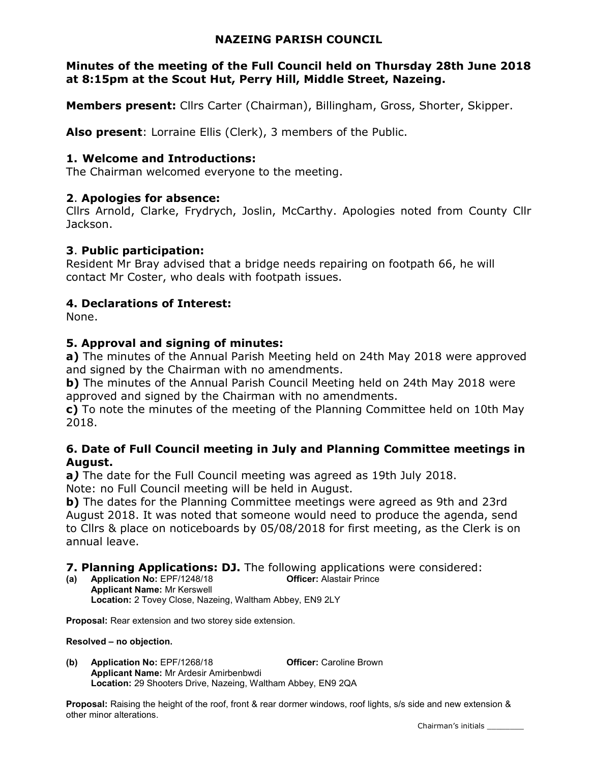### NAZEING PARISH COUNCIL

### Minutes of the meeting of the Full Council held on Thursday 28th June 2018 at 8:15pm at the Scout Hut, Perry Hill, Middle Street, Nazeing.

Members present: Cllrs Carter (Chairman), Billingham, Gross, Shorter, Skipper.

Also present: Lorraine Ellis (Clerk), 3 members of the Public.

### 1. Welcome and Introductions:

The Chairman welcomed everyone to the meeting.

#### 2. Apologies for absence:

Cllrs Arnold, Clarke, Frydrych, Joslin, McCarthy. Apologies noted from County Cllr Jackson.

#### 3. Public participation:

Resident Mr Bray advised that a bridge needs repairing on footpath 66, he will contact Mr Coster, who deals with footpath issues.

### 4. Declarations of Interest:

None.

#### 5. Approval and signing of minutes:

a) The minutes of the Annual Parish Meeting held on 24th May 2018 were approved and signed by the Chairman with no amendments.

b) The minutes of the Annual Parish Council Meeting held on 24th May 2018 were approved and signed by the Chairman with no amendments.

c) To note the minutes of the meeting of the Planning Committee held on 10th May 2018.

#### 6. Date of Full Council meeting in July and Planning Committee meetings in August.

a) The date for the Full Council meeting was agreed as 19th July 2018.

Note: no Full Council meeting will be held in August.

b) The dates for the Planning Committee meetings were agreed as 9th and 23rd August 2018. It was noted that someone would need to produce the agenda, send to Cllrs & place on noticeboards by 05/08/2018 for first meeting, as the Clerk is on annual leave.

7. Planning Applications: DJ. The following applications were considered:

(a) Application No: EPF/1248/18 Officer: Alastair Prince Applicant Name: Mr Kerswell Location: 2 Tovey Close, Nazeing, Waltham Abbey, EN9 2LY

Proposal: Rear extension and two storey side extension.

Resolved – no objection.

(b) Application No: EPF/1268/18 **Officer:** Caroline Brown Applicant Name: Mr Ardesir Amirbenbwdi Location: 29 Shooters Drive, Nazeing, Waltham Abbey, EN9 2QA

Proposal: Raising the height of the roof, front & rear dormer windows, roof lights, s/s side and new extension & other minor alterations.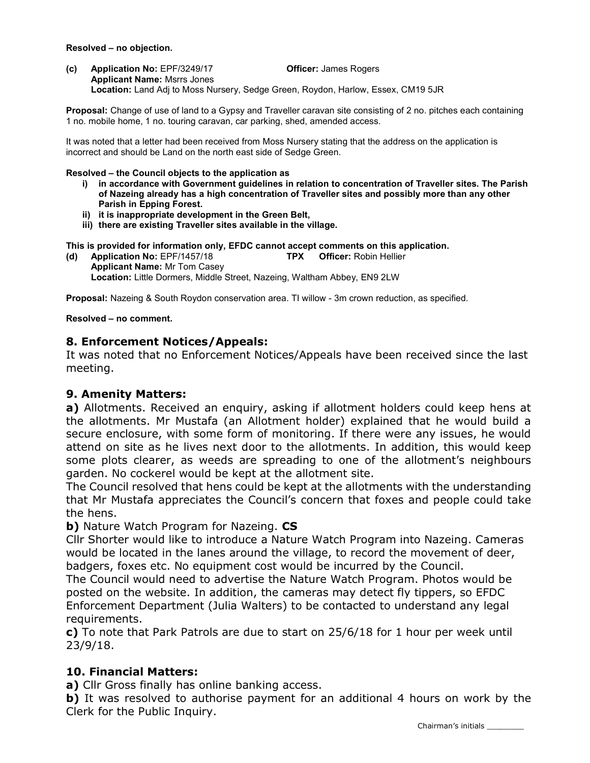#### Resolved – no objection.

(c) Application No: EPF/3249/17 Officer: James Rogers Applicant Name: Msrrs Jones Location: Land Adj to Moss Nursery, Sedge Green, Roydon, Harlow, Essex, CM19 5JR

Proposal: Change of use of land to a Gypsy and Traveller caravan site consisting of 2 no. pitches each containing 1 no. mobile home, 1 no. touring caravan, car parking, shed, amended access.

It was noted that a letter had been received from Moss Nursery stating that the address on the application is incorrect and should be Land on the north east side of Sedge Green.

#### Resolved – the Council objects to the application as

- i) in accordance with Government guidelines in relation to concentration of Traveller sites. The Parish of Nazeing already has a high concentration of Traveller sites and possibly more than any other Parish in Epping Forest.
- ii) it is inappropriate development in the Green Belt,
- iii) there are existing Traveller sites available in the village.

This is provided for information only, EFDC cannot accept comments on this application.

(d) Application No: EPF/1457/18 TPX Officer: Robin Hellier Applicant Name: Mr Tom Casey Location: Little Dormers, Middle Street, Nazeing, Waltham Abbey, EN9 2LW

Proposal: Nazeing & South Roydon conservation area. TI willow - 3m crown reduction, as specified.

Resolved – no comment.

#### 8. Enforcement Notices/Appeals:

It was noted that no Enforcement Notices/Appeals have been received since the last meeting.

#### 9. Amenity Matters:

a) Allotments. Received an enquiry, asking if allotment holders could keep hens at the allotments. Mr Mustafa (an Allotment holder) explained that he would build a secure enclosure, with some form of monitoring. If there were any issues, he would attend on site as he lives next door to the allotments. In addition, this would keep some plots clearer, as weeds are spreading to one of the allotment's neighbours garden. No cockerel would be kept at the allotment site.

The Council resolved that hens could be kept at the allotments with the understanding that Mr Mustafa appreciates the Council's concern that foxes and people could take the hens.

b) Nature Watch Program for Nazeing. CS

Cllr Shorter would like to introduce a Nature Watch Program into Nazeing. Cameras would be located in the lanes around the village, to record the movement of deer, badgers, foxes etc. No equipment cost would be incurred by the Council.

The Council would need to advertise the Nature Watch Program. Photos would be posted on the website. In addition, the cameras may detect fly tippers, so EFDC Enforcement Department (Julia Walters) to be contacted to understand any legal requirements.

c) To note that Park Patrols are due to start on 25/6/18 for 1 hour per week until 23/9/18.

### 10. Financial Matters:

a) Cllr Gross finally has online banking access.

b) It was resolved to authorise payment for an additional 4 hours on work by the Clerk for the Public Inquiry.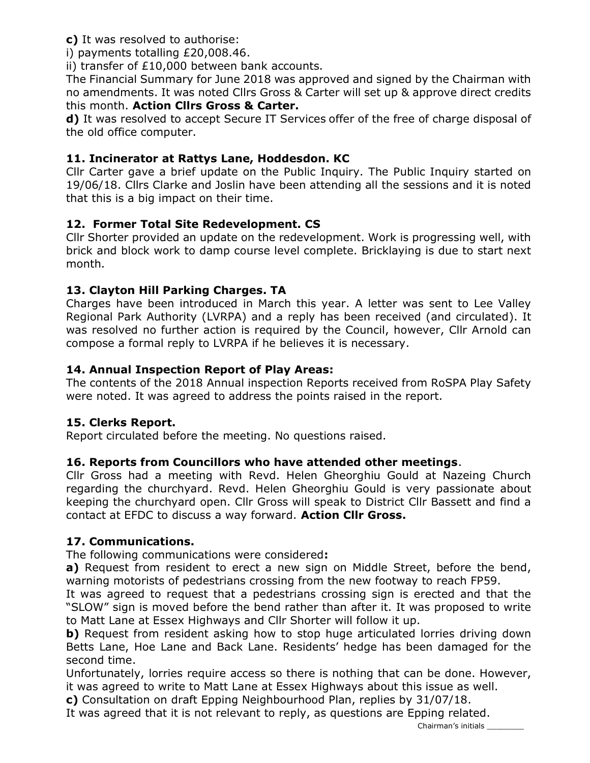c) It was resolved to authorise:

i) payments totalling £20,008.46.

ii) transfer of £10,000 between bank accounts.

The Financial Summary for June 2018 was approved and signed by the Chairman with no amendments. It was noted Cllrs Gross & Carter will set up & approve direct credits this month. Action Cllrs Gross & Carter.

d) It was resolved to accept Secure IT Services offer of the free of charge disposal of the old office computer.

## 11. Incinerator at Rattys Lane, Hoddesdon. KC

Cllr Carter gave a brief update on the Public Inquiry. The Public Inquiry started on 19/06/18. Cllrs Clarke and Joslin have been attending all the sessions and it is noted that this is a big impact on their time.

## 12. Former Total Site Redevelopment. CS

Cllr Shorter provided an update on the redevelopment. Work is progressing well, with brick and block work to damp course level complete. Bricklaying is due to start next month.

## 13. Clayton Hill Parking Charges. TA

Charges have been introduced in March this year. A letter was sent to Lee Valley Regional Park Authority (LVRPA) and a reply has been received (and circulated). It was resolved no further action is required by the Council, however, Cllr Arnold can compose a formal reply to LVRPA if he believes it is necessary.

## 14. Annual Inspection Report of Play Areas:

The contents of the 2018 Annual inspection Reports received from RoSPA Play Safety were noted. It was agreed to address the points raised in the report.

### 15. Clerks Report.

Report circulated before the meeting. No questions raised.

## 16. Reports from Councillors who have attended other meetings.

Cllr Gross had a meeting with Revd. Helen Gheorghiu Gould at Nazeing Church regarding the churchyard. Revd. Helen Gheorghiu Gould is very passionate about keeping the churchyard open. Cllr Gross will speak to District Cllr Bassett and find a contact at EFDC to discuss a way forward. Action Cllr Gross.

## 17. Communications.

The following communications were considered:

a) Request from resident to erect a new sign on Middle Street, before the bend, warning motorists of pedestrians crossing from the new footway to reach FP59.

It was agreed to request that a pedestrians crossing sign is erected and that the "SLOW" sign is moved before the bend rather than after it. It was proposed to write to Matt Lane at Essex Highways and Cllr Shorter will follow it up.

b) Request from resident asking how to stop huge articulated lorries driving down Betts Lane, Hoe Lane and Back Lane. Residents' hedge has been damaged for the second time.

Unfortunately, lorries require access so there is nothing that can be done. However, it was agreed to write to Matt Lane at Essex Highways about this issue as well.

c) Consultation on draft Epping Neighbourhood Plan, replies by 31/07/18.

It was agreed that it is not relevant to reply, as questions are Epping related.